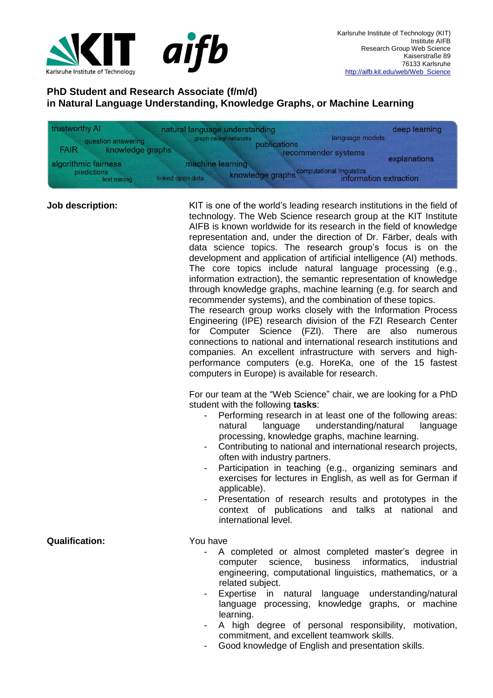

## **PhD Student and Research Associate (f/m/d) in Natural Language Understanding, Knowledge Graphs, or Machine Learning**

| trustworthy AI                                        | natural language understanding        | deep learning                                                        |
|-------------------------------------------------------|---------------------------------------|----------------------------------------------------------------------|
| question answering<br>knowledge graphs<br><b>FAIR</b> | graph neural networks<br>publications | language models<br>recommender systems                               |
| algorithmic fairness                                  | machine learning                      | explanations                                                         |
| predictions<br>text mining                            | linked open data                      | knowledge graphs computational linguistics<br>information extraction |

**Job description:** KIT is one of the world's leading research institutions in the field of technology. The Web Science research group at the KIT Institute AIFB is known worldwide for its research in the field of knowledge representation and, under the direction of Dr. Färber, deals with data science topics. The research group's focus is on the development and application of artificial intelligence (AI) methods. The core topics include natural language processing (e.g., information extraction), the semantic representation of knowledge through knowledge graphs, machine learning (e.g. for search and recommender systems), and the combination of these topics.

The research group works closely with the Information Process Engineering (IPE) research division of the FZI Research Center for Computer Science (FZI). There are also numerous connections to national and international research institutions and companies. An excellent infrastructure with servers and highperformance computers (e.g. HoreKa, one of the 15 fastest computers in Europe) is available for research.

For our team at the "Web Science" chair, we are looking for a PhD student with the following **tasks**:

- Performing research in at least one of the following areas: natural language understanding/natural language processing, knowledge graphs, machine learning.
- Contributing to national and international research projects, often with industry partners.
- Participation in teaching (e.g., organizing seminars and exercises for lectures in English, as well as for German if applicable).
- Presentation of research results and prototypes in the context of publications and talks at national and international level.

**Qualification:** You have

- A completed or almost completed master's degree in computer science, business informatics, industrial engineering, computational linguistics, mathematics, or a related subject.
- Expertise in natural language understanding/natural language processing, knowledge graphs, or machine learning.
- A high degree of personal responsibility, motivation, commitment, and excellent teamwork skills.
- Good knowledge of English and presentation skills.